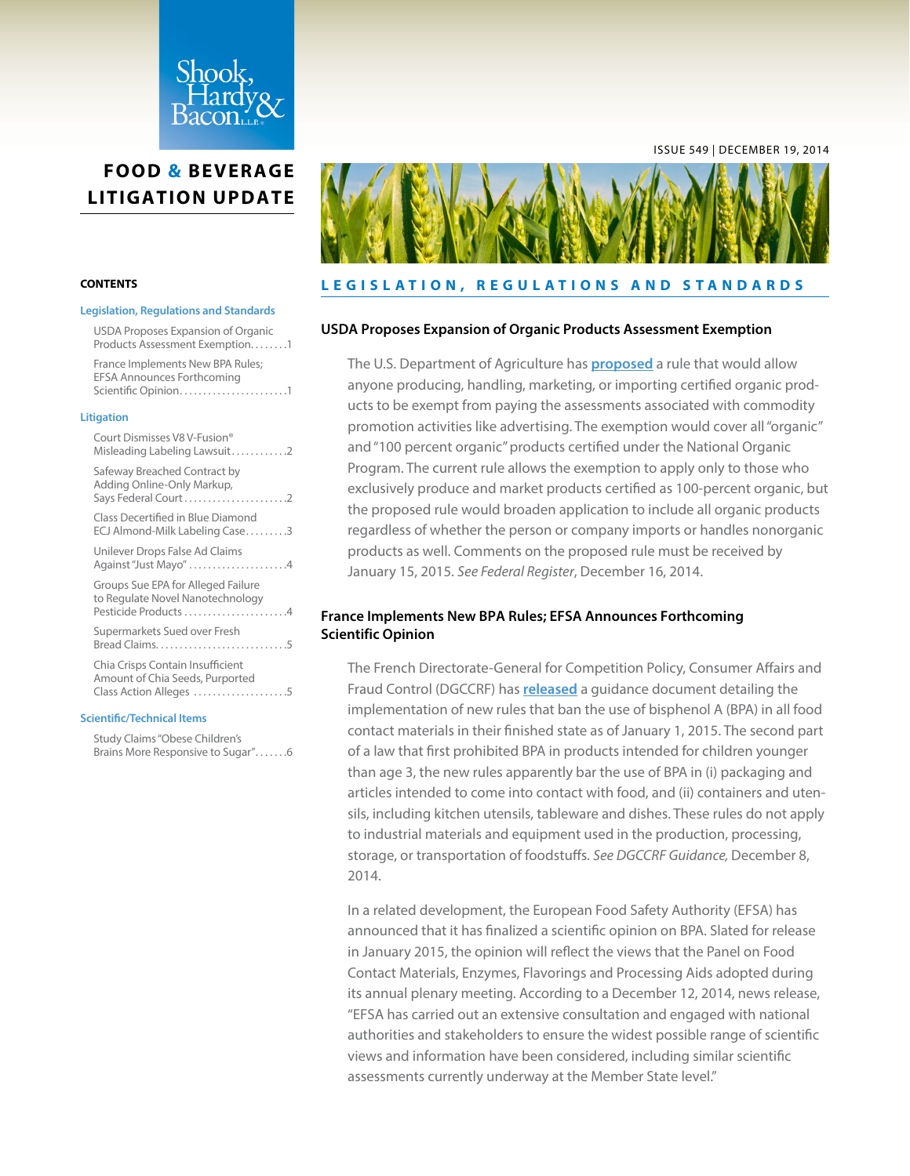<span id="page-0-0"></span>

### **CONTENTS**

#### **Legislation, Regulations and Standards**

USDA Proposes Expansion of Organic Products Assessment Exemption. . . . . . . .1 France Implements New BPA Rules; EFSA Announces Forthcoming

Scientific Opinion. . 1

#### **[Litigation](#page-1-0)**

| Court Dismisses V8 V-Fusion®<br>Misleading Labeling Lawsuit2                                   |  |
|------------------------------------------------------------------------------------------------|--|
| Safeway Breached Contract by<br>Adding Online-Only Markup,<br>Says Federal Court2              |  |
| Class Decertified in Blue Diamond<br>ECJ Almond-Milk Labeling Case3                            |  |
| Unilever Drops False Ad Claims<br>Against "Just Mayo" 4                                        |  |
| Groups Sue EPA for Alleged Failure<br>to Regulate Novel Nanotechnology<br>Pesticide Products 4 |  |
| Supermarkets Sued over Fresh                                                                   |  |
| Chia Crisps Contain Insufficient<br>Amount of Chia Seeds, Purported<br>Class Action Alleges 5  |  |
|                                                                                                |  |

#### **[Scientific/Technical Items](#page-5-0)**

[Study Claims "Obese Children's](#page-5-0)  Brains More Responsive to Sugar".......6



#### **LEGISLATION, REGULATIONS AND STANDARDS**

### **USDA Proposes Expansion of Organic Products Assessment Exemption**

The U.S. Department of Agriculture has **[proposed](http://www.gpo.gov/fdsys/pkg/FR-2014-12-16/pdf/2014-29280.pdf)** a rule that would allow anyone producing, handling, marketing, or importing certified organic products to be exempt from paying the assessments associated with commodity promotion activities like advertising. The exemption would cover all "organic" and "100 percent organic" products certified under the National Organic Program. The current rule allows the exemption to apply only to those who exclusively produce and market products certified as 100-percent organic, but the proposed rule would broaden application to include all organic products regardless of whether the person or company imports or handles nonorganic products as well. Comments on the proposed rule must be received by January 15, 2015. *See Federal Register*, December 16, 2014.

## **France Implements New BPA Rules; EFSA Announces Forthcoming Scientific Opinion**

The French Directorate-General for Competition Policy, Consumer Affairs and Fraud Control (DGCCRF) has **[released](http://www.economie.gouv.fr/dgccrf/mise-en-oeuvre-loi-bisphenol-a-bpa)** a guidance document detailing the implementation of new rules that ban the use of bisphenol A (BPA) in all food contact materials in their finished state as of January 1, 2015. The second part of a law that first prohibited BPA in products intended for children younger than age 3, the new rules apparently bar the use of BPA in (i) packaging and articles intended to come into contact with food, and (ii) containers and utensils, including kitchen utensils, tableware and dishes. These rules do not apply to industrial materials and equipment used in the production, processing, storage, or transportation of foodstuffs. *See DGCCRF Guidance,* December 8, 2014.

In a related development, the European Food Safety Authority (EFSA) has announced that it has finalized a scientific opinion on BPA. Slated for release in January 2015, the opinion will reflect the views that the Panel on Food Contact Materials, Enzymes, Flavorings and Processing Aids adopted during its annual plenary meeting. According to a December 12, 2014, news release, "EFSA has carried out an extensive consultation and engaged with national authorities and stakeholders to ensure the widest possible range of scientific views and information have been considered, including similar scientific assessments currently underway at the Member State level."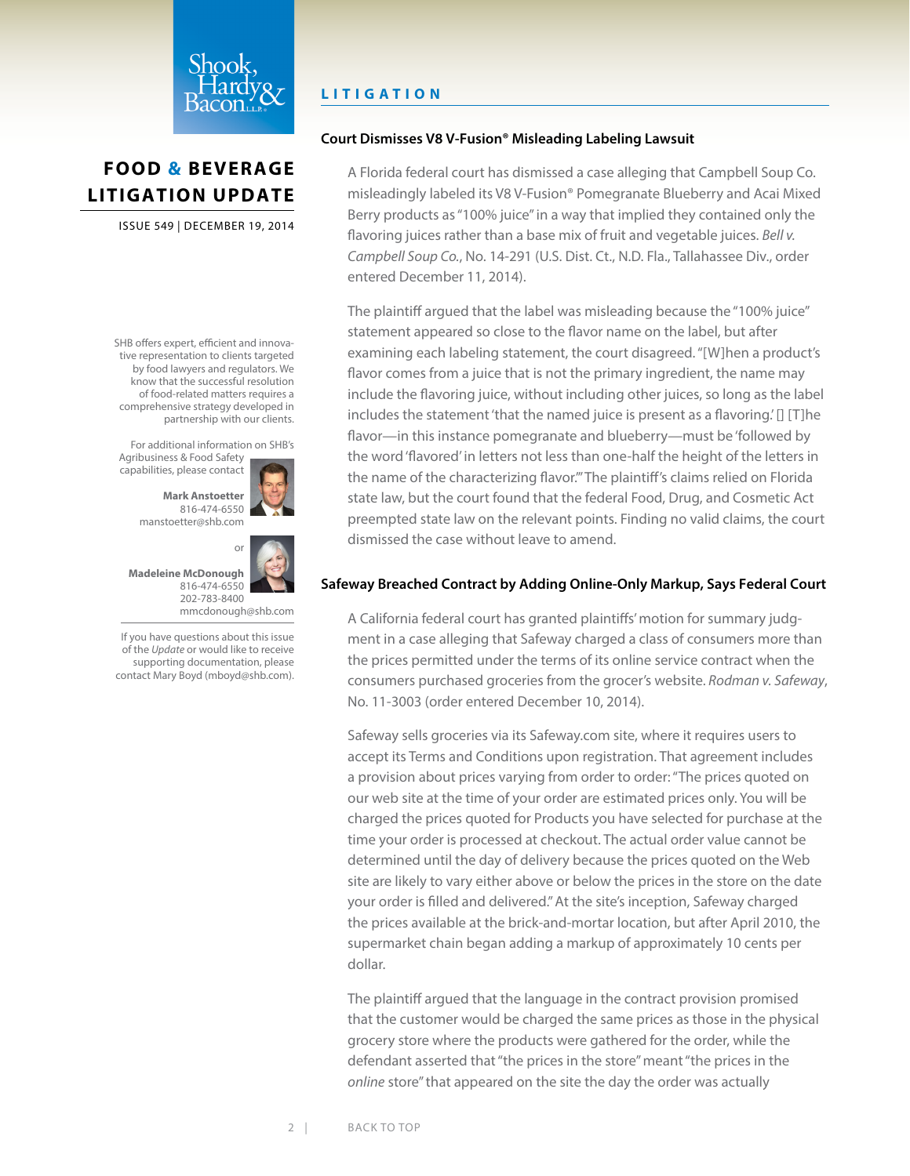<span id="page-1-0"></span>

ISSUE 549 | DECEMBER 19, 2014

SHB offers expert, efficient and innovative representation to clients targeted by food lawyers and regulators. We know that the successful resolution of food-related matters requires a comprehensive strategy developed in partnership with our clients.

For additional information on SHB's Agribusiness & Food Safety

capabilities, please contact



816-474-6550 [manstoetter@shb.com](mailto:manstoetter@shb.com)



[mmcdonough@shb.com](mailto:mmcdonough@shb.com) If you have questions about this issue of the *Update* or would like to receive

supporting documentation, please contact Mary Boyd [\(mboyd@shb.com](mailto:mboyd@shb.com)).

# **LITIGATION**

## **Court Dismisses V8 V-Fusion® Misleading Labeling Lawsuit**

A Florida federal court has dismissed a case alleging that Campbell Soup Co. misleadingly labeled its V8 V-Fusion® Pomegranate Blueberry and Acai Mixed Berry products as "100% juice" in a way that implied they contained only the flavoring juices rather than a base mix of fruit and vegetable juices. *Bell v. Campbell Soup Co.*, No. 14-291 (U.S. Dist. Ct., N.D. Fla., Tallahassee Div., order entered December 11, 2014).

The plaintiff argued that the label was misleading because the "100% juice" statement appeared so close to the flavor name on the label, but after examining each labeling statement, the court disagreed. "[W]hen a product's flavor comes from a juice that is not the primary ingredient, the name may include the flavoring juice, without including other juices, so long as the label includes the statement 'that the named juice is present as a flavoring.' [] [T]he flavor—in this instance pomegranate and blueberry—must be 'followed by the word 'flavored' in letters not less than one-half the height of the letters in the name of the characterizing flavor.'" The plaintiff's claims relied on Florida state law, but the court found that the federal Food, Drug, and Cosmetic Act preempted state law on the relevant points. Finding no valid claims, the court dismissed the case without leave to amend.

# **Safeway Breached Contract by Adding Online-Only Markup, Says Federal Court**

A California federal court has granted plaintiffs' motion for summary judgment in a case alleging that Safeway charged a class of consumers more than the prices permitted under the terms of its online service contract when the consumers purchased groceries from the grocer's website. *Rodman v. Safeway*, No. 11-3003 (order entered December 10, 2014).

Safeway sells groceries via its Safeway.com site, where it requires users to accept its Terms and Conditions upon registration. That agreement includes a provision about prices varying from order to order: "The prices quoted on our web site at the time of your order are estimated prices only. You will be charged the prices quoted for Products you have selected for purchase at the time your order is processed at checkout. The actual order value cannot be determined until the day of delivery because the prices quoted on the Web site are likely to vary either above or below the prices in the store on the date your order is filled and delivered." At the site's inception, Safeway charged the prices available at the brick-and-mortar location, but after April 2010, the supermarket chain began adding a markup of approximately 10 cents per dollar.

The plaintiff argued that the language in the contract provision promised that the customer would be charged the same prices as those in the physical grocery store where the products were gathered for the order, while the defendant asserted that "the prices in the store" meant "the prices in the *online* store" that appeared on the site the day the order was actually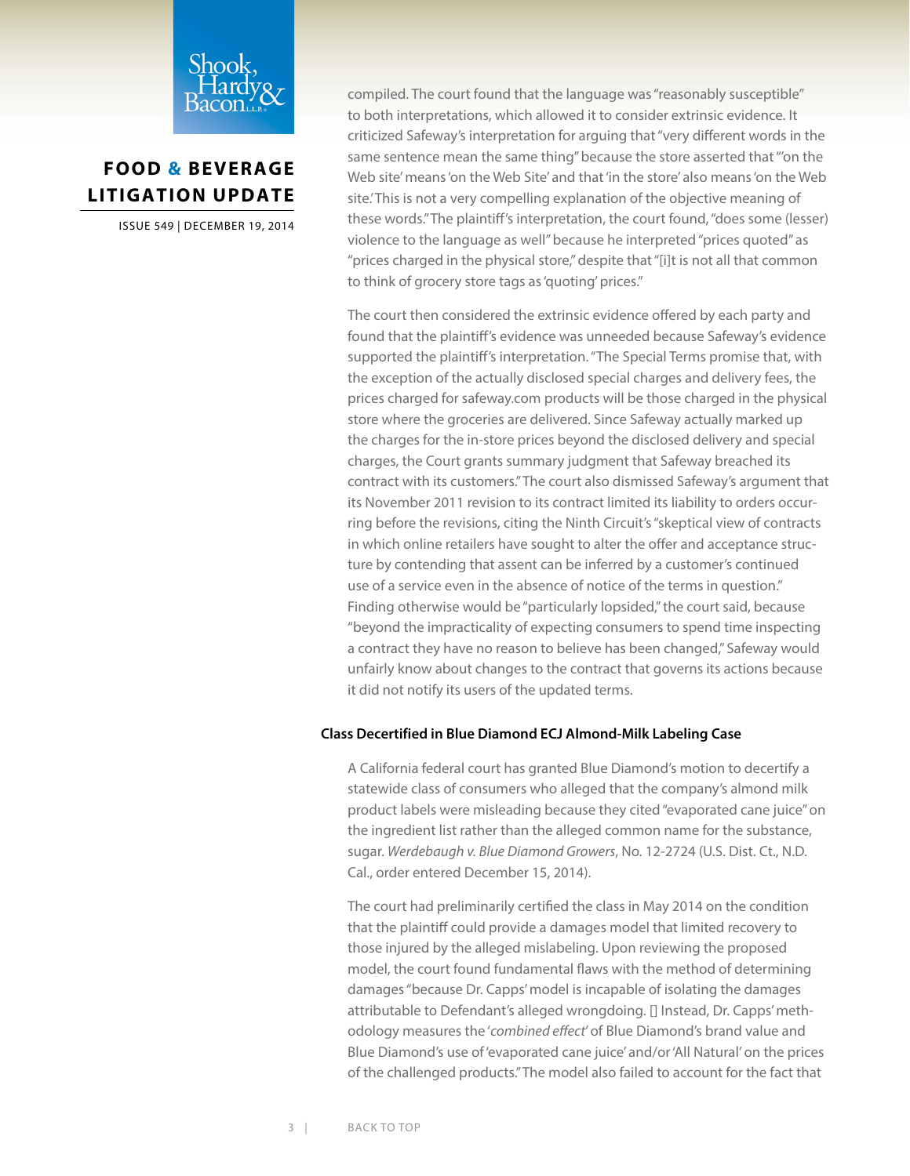<span id="page-2-0"></span>

ISSUE 549 | DECEMBER 19, 2014

compiled. The court found that the language was "reasonably susceptible" to both interpretations, which allowed it to consider extrinsic evidence. It criticized Safeway's interpretation for arguing that "very different words in the same sentence mean the same thing" because the store asserted that "'on the Web site' means 'on the Web Site' and that 'in the store' also means 'on the Web site.' This is not a very compelling explanation of the objective meaning of these words." The plaintiff's interpretation, the court found, "does some (lesser) violence to the language as well" because he interpreted "prices quoted" as "prices charged in the physical store," despite that "[i]t is not all that common to think of grocery store tags as 'quoting' prices."

The court then considered the extrinsic evidence offered by each party and found that the plaintiff's evidence was unneeded because Safeway's evidence supported the plaintiff's interpretation. "The Special Terms promise that, with the exception of the actually disclosed special charges and delivery fees, the prices charged for safeway.com products will be those charged in the physical store where the groceries are delivered. Since Safeway actually marked up the charges for the in-store prices beyond the disclosed delivery and special charges, the Court grants summary judgment that Safeway breached its contract with its customers." The court also dismissed Safeway's argument that its November 2011 revision to its contract limited its liability to orders occurring before the revisions, citing the Ninth Circuit's "skeptical view of contracts in which online retailers have sought to alter the offer and acceptance structure by contending that assent can be inferred by a customer's continued use of a service even in the absence of notice of the terms in question." Finding otherwise would be "particularly lopsided," the court said, because "beyond the impracticality of expecting consumers to spend time inspecting a contract they have no reason to believe has been changed," Safeway would unfairly know about changes to the contract that governs its actions because it did not notify its users of the updated terms.

### **Class Decertified in Blue Diamond ECJ Almond-Milk Labeling Case**

A California federal court has granted Blue Diamond's motion to decertify a statewide class of consumers who alleged that the company's almond milk product labels were misleading because they cited "evaporated cane juice" on the ingredient list rather than the alleged common name for the substance, sugar. *Werdebaugh v. Blue Diamond Growers*, No. 12-2724 (U.S. Dist. Ct., N.D. Cal., order entered December 15, 2014).

The court had preliminarily certified the class in May 2014 on the condition that the plaintiff could provide a damages model that limited recovery to those injured by the alleged mislabeling. Upon reviewing the proposed model, the court found fundamental flaws with the method of determining damages "because Dr. Capps' model is incapable of isolating the damages attributable to Defendant's alleged wrongdoing. [] Instead, Dr. Capps' methodology measures the '*combined effect*' of Blue Diamond's brand value and Blue Diamond's use of 'evaporated cane juice' and/or 'All Natural' on the prices of the challenged products." The model also failed to account for the fact that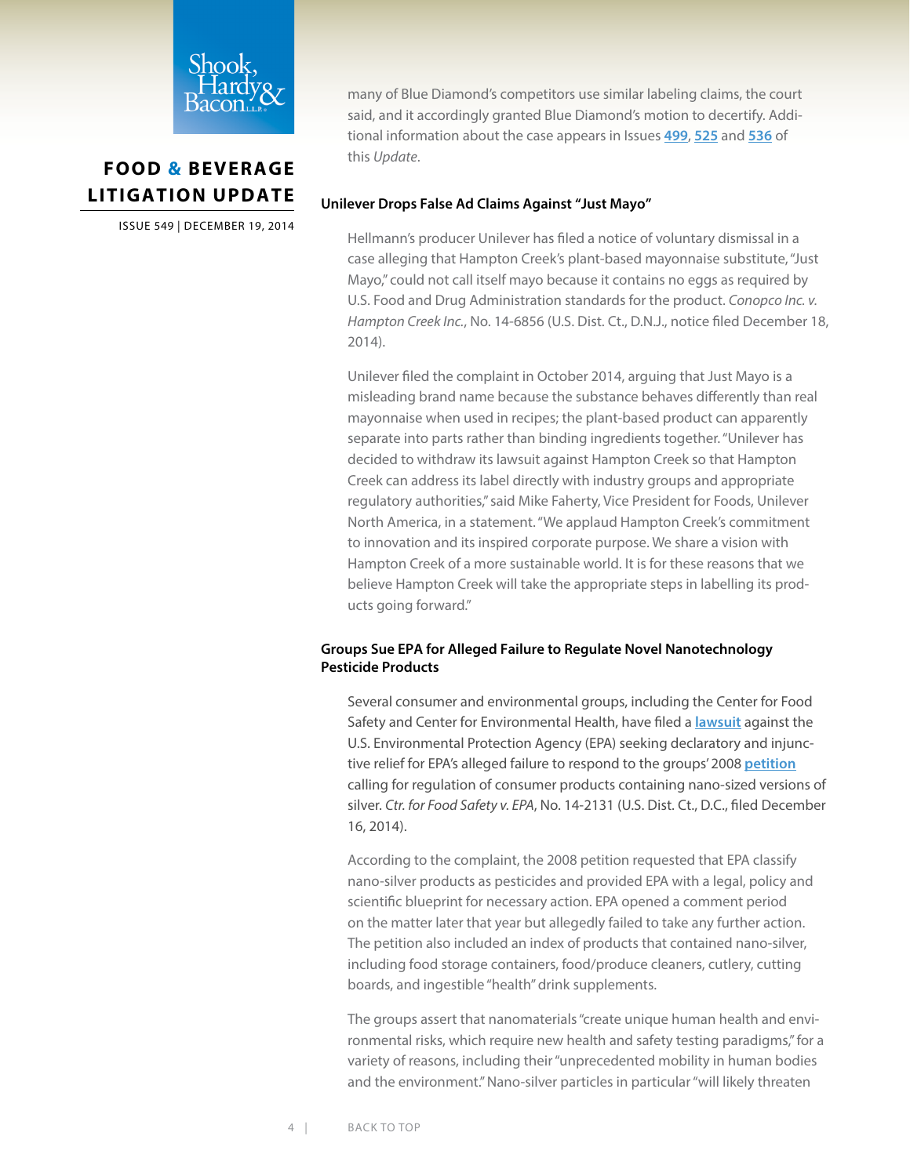<span id="page-3-0"></span>

ISSUE 549 | DECEMBER 19, 2014

many of Blue Diamond's competitors use similar labeling claims, the court said, and it accordingly granted Blue Diamond's motion to decertify. Additional information about the case appears in Issues **[499](http://www.shb.com/newsletters/fblu/fblu499.pdf)**, **[525](http://www.shb.com/newsletters/fblu/fblu525.pdf)** and **[536](http://www.shb.com/newsletters/fblu/fblu536.pdf)** of this *Update*.

## **Unilever Drops False Ad Claims Against "Just Mayo"**

Hellmann's producer Unilever has filed a notice of voluntary dismissal in a case alleging that Hampton Creek's plant-based mayonnaise substitute, "Just Mayo," could not call itself mayo because it contains no eggs as required by U.S. Food and Drug Administration standards for the product. *Conopco Inc. v. Hampton Creek Inc.*, No. 14-6856 (U.S. Dist. Ct., D.N.J., notice filed December 18, 2014).

Unilever filed the complaint in October 2014, arguing that Just Mayo is a misleading brand name because the substance behaves differently than real mayonnaise when used in recipes; the plant-based product can apparently separate into parts rather than binding ingredients together. "Unilever has decided to withdraw its lawsuit against Hampton Creek so that Hampton Creek can address its label directly with industry groups and appropriate regulatory authorities," said Mike Faherty, Vice President for Foods, Unilever North America, in a statement. "We applaud Hampton Creek's commitment to innovation and its inspired corporate purpose. We share a vision with Hampton Creek of a more sustainable world. It is for these reasons that we believe Hampton Creek will take the appropriate steps in labelling its products going forward."

## **Groups Sue EPA for Alleged Failure to Regulate Novel Nanotechnology Pesticide Products**

Several consumer and environmental groups, including the Center for Food Safety and Center for Environmental Health, have filed a **[lawsuit](http://www.centerforfoodsafety.org/files/2014-12-16-dkt-1--pls--complaint_78869.pdf)** against the U.S. Environmental Protection Agency (EPA) seeking declaratory and injunctive relief for EPA's alleged failure to respond to the groups' 2008 **[petition](http://www.centerforfoodsafety.org/files/cta_nano-silver-petition__final_5_1_08.pdf)** calling for regulation of consumer products containing nano-sized versions of silver. *Ctr. for Food Safety v. EPA*, No. 14-2131 (U.S. Dist. Ct., D.C., filed December 16, 2014).

According to the complaint, the 2008 petition requested that EPA classify nano-silver products as pesticides and provided EPA with a legal, policy and scientific blueprint for necessary action. EPA opened a comment period on the matter later that year but allegedly failed to take any further action. The petition also included an index of products that contained nano-silver, including food storage containers, food/produce cleaners, cutlery, cutting boards, and ingestible "health" drink supplements.

The groups assert that nanomaterials "create unique human health and environmental risks, which require new health and safety testing paradigms," for a variety of reasons, including their "unprecedented mobility in human bodies and the environment." Nano-silver particles in particular "will likely threaten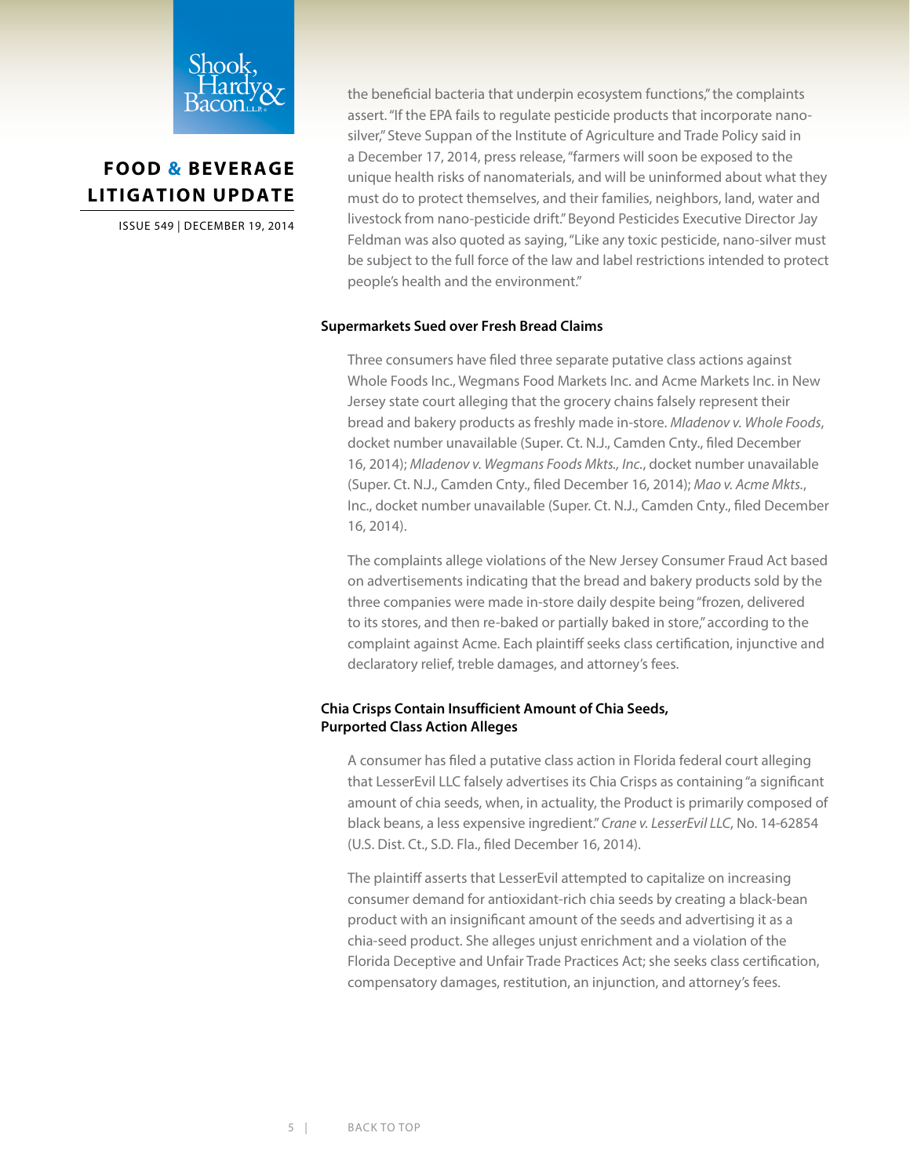<span id="page-4-0"></span>

ISSUE 549 | DECEMBER 19, 2014

the beneficial bacteria that underpin ecosystem functions," the complaints assert. "If the EPA fails to regulate pesticide products that incorporate nanosilver," Steve Suppan of the Institute of Agriculture and Trade Policy said in a December 17, 2014, press release, "farmers will soon be exposed to the unique health risks of nanomaterials, and will be uninformed about what they must do to protect themselves, and their families, neighbors, land, water and livestock from nano-pesticide drift." Beyond Pesticides Executive Director Jay Feldman was also quoted as saying, "Like any toxic pesticide, nano-silver must be subject to the full force of the law and label restrictions intended to protect people's health and the environment."

### **Supermarkets Sued over Fresh Bread Claims**

Three consumers have filed three separate putative class actions against Whole Foods Inc., Wegmans Food Markets Inc. and Acme Markets Inc. in New Jersey state court alleging that the grocery chains falsely represent their bread and bakery products as freshly made in-store. *Mladenov v. Whole Foods*, docket number unavailable (Super. Ct. N.J., Camden Cnty., filed December 16, 2014); *Mladenov v. Wegmans Foods Mkts., Inc.*, docket number unavailable (Super. Ct. N.J., Camden Cnty., filed December 16, 2014); *Mao v. Acme Mkts.*, Inc., docket number unavailable (Super. Ct. N.J., Camden Cnty., filed December 16, 2014).

The complaints allege violations of the New Jersey Consumer Fraud Act based on advertisements indicating that the bread and bakery products sold by the three companies were made in-store daily despite being "frozen, delivered to its stores, and then re-baked or partially baked in store," according to the complaint against Acme. Each plaintiff seeks class certification, injunctive and declaratory relief, treble damages, and attorney's fees.

### **Chia Crisps Contain Insufficient Amount of Chia Seeds, Purported Class Action Alleges**

A consumer has filed a putative class action in Florida federal court alleging that LesserEvil LLC falsely advertises its Chia Crisps as containing "a significant amount of chia seeds, when, in actuality, the Product is primarily composed of black beans, a less expensive ingredient." *Crane v. LesserEvil LLC*, No. 14-62854 (U.S. Dist. Ct., S.D. Fla., filed December 16, 2014).

The plaintiff asserts that LesserEvil attempted to capitalize on increasing consumer demand for antioxidant-rich chia seeds by creating a black-bean product with an insignificant amount of the seeds and advertising it as a chia-seed product. She alleges unjust enrichment and a violation of the Florida Deceptive and Unfair Trade Practices Act; she seeks class certification, compensatory damages, restitution, an injunction, and attorney's fees.